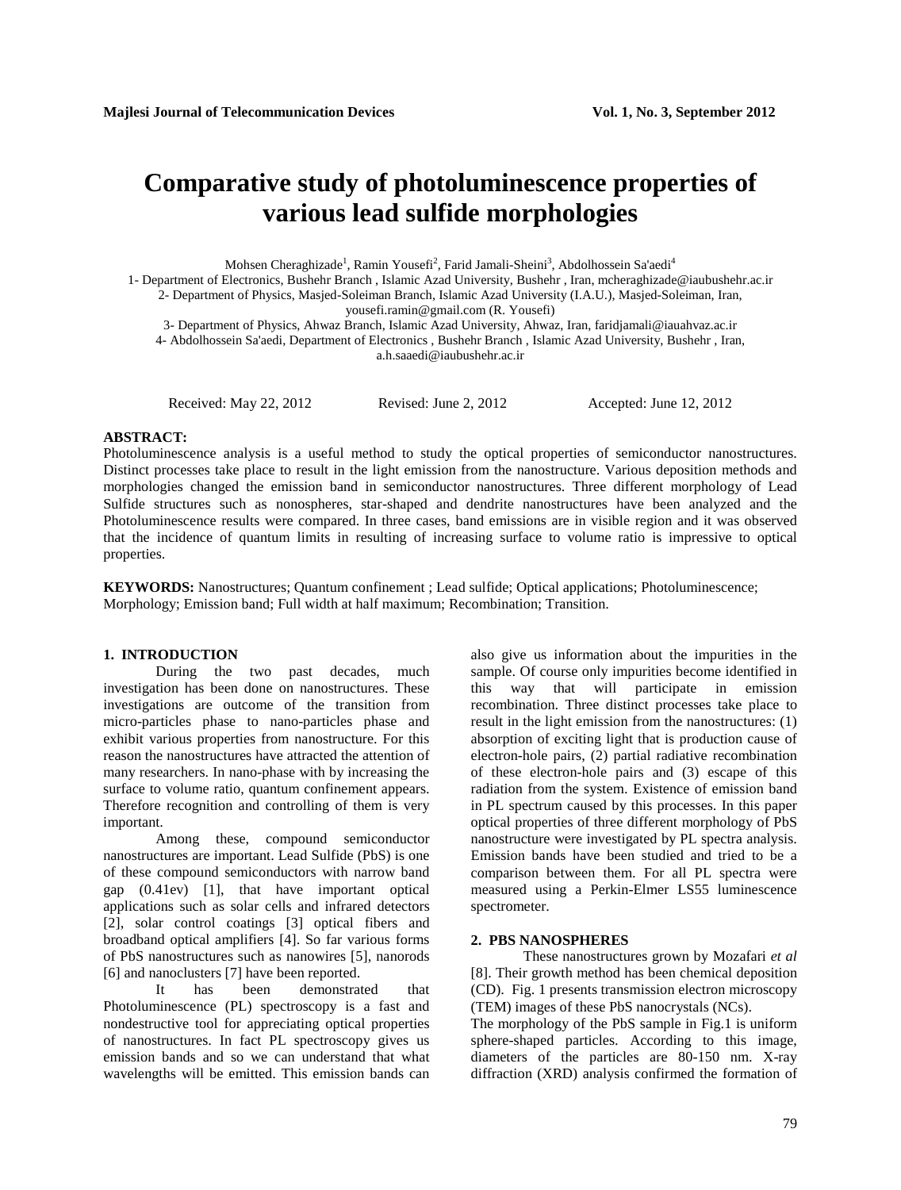# **Comparative study of photoluminescence properties of various lead sulfide morphologies**

Mohsen Cheraghizade<sup>1</sup>, Ramin Yousefi<sup>2</sup>, Farid Jamali-Sheini<sup>3</sup>, Abdolhossein Sa'aedi<sup>4</sup>

1- Department of Electronics, Bushehr Branch , Islamic Azad University, Bushehr , Iran[, mcheraghizade@iaubushehr.ac.ir](mailto:mcheraghizade@iaubushehr.ac.ir) 2- Department of Physics, Masjed-Soleiman Branch, Islamic Azad University (I.A.U.), Masjed-Soleiman, Iran,

yousefi.ramin@gmail.com (R. Yousefi)

3- Department of Physics, Ahwaz Branch, Islamic Azad University, Ahwaz, Iran, [faridjamali@iauahvaz.ac.ir](mailto:faridjamali@iauahvaz.ac.ir)

4- Abdolhossein Sa'aedi, Department of Electronics , Bushehr Branch , Islamic Azad University, Bushehr , Iran,

a.h.saaedi@iaubushehr.ac.ir

Received: May 22, 2012 Revised: June 2, 2012 Accepted: June 12, 2012

# **ABSTRACT:**

Photoluminescence analysis is a useful method to study the optical properties of semiconductor nanostructures. Distinct processes take place to result in the light emission from the nanostructure. Various deposition methods and morphologies changed the emission band in semiconductor nanostructures. Three different morphology of Lead Sulfide structures such as nonospheres, star-shaped and dendrite nanostructures have been analyzed and the Photoluminescence results were compared. In three cases, band emissions are in visible region and it was observed that the incidence of quantum limits in resulting of increasing surface to volume ratio is impressive to optical properties.

**KEYWORDS:** Nanostructures; Quantum confinement ; Lead sulfide; Optical applications; Photoluminescence; Morphology; Emission band; Full width at half maximum; Recombination; Transition.

# **1. INTRODUCTION**

During the two past decades, much investigation has been done on nanostructures. These investigations are outcome of the transition from micro-particles phase to nano-particles phase and exhibit various properties from nanostructure. For this reason the nanostructures have attracted the attention of many researchers. In nano-phase with by increasing the surface to volume ratio, quantum confinement appears. Therefore recognition and controlling of them is very important.

Among these, compound semiconductor nanostructures are important. Lead Sulfide (PbS) is one of these compound semiconductors with narrow band gap (0.41ev) [1], that have important optical applications such as solar cells and infrared detectors [2], solar control coatings [3] optical fibers and broadband optical amplifiers [4]. So far various forms of PbS nanostructures such as nanowires [5], nanorods [6] and nanoclusters [7] have been reported.

It has been demonstrated that Photoluminescence (PL) spectroscopy is a fast and nondestructive tool for appreciating optical properties of nanostructures. In fact PL spectroscopy gives us emission bands and so we can understand that what wavelengths will be emitted. This emission bands can also give us information about the impurities in the sample. Of course only impurities become identified in this way that will participate in emission recombination. Three distinct processes take place to result in the light emission from the nanostructures: (1) absorption of exciting light that is production cause of electron-hole pairs, (2) partial radiative recombination of these electron-hole pairs and (3) escape of this radiation from the system. Existence of emission band in PL spectrum caused by this processes. In this paper optical properties of three different morphology of PbS nanostructure were investigated by PL spectra analysis. Emission bands have been studied and tried to be a comparison between them. For all PL spectra were measured using a Perkin-Elmer LS55 luminescence spectrometer.

# **2. PBS NANOSPHERES**

These nanostructures grown by Mozafari *et al* [8]. Their growth method has been chemical deposition (CD). Fig. 1 presents transmission electron microscopy (TEM) images of these PbS nanocrystals (NCs).

The morphology of the PbS sample in Fig.1 is uniform sphere-shaped particles. According to this image, diameters of the particles are 80-150 nm. X-ray diffraction (XRD) analysis confirmed the formation of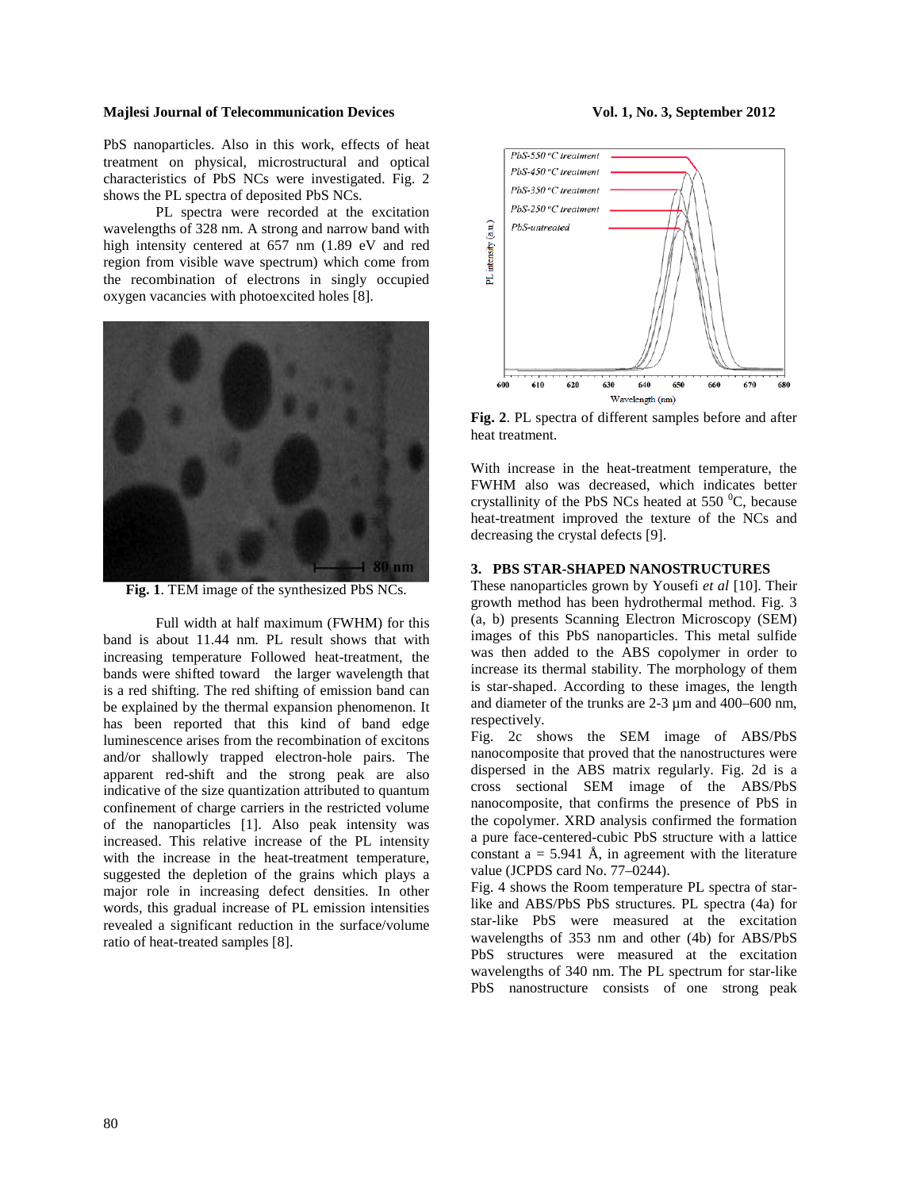### **Majlesi Journal of Telecommunication Devices Vol. 1, No. 3, September 2012**

PbS nanoparticles. Also in this work, effects of heat treatment on physical, microstructural and optical characteristics of PbS NCs were investigated. Fig. 2 shows the PL spectra of deposited PbS NCs.

PL spectra were recorded at the excitation wavelengths of 328 nm. A strong and narrow band with high intensity centered at 657 nm (1.89 eV and red region from visible wave spectrum) which come from the recombination of electrons in singly occupied oxygen vacancies with photoexcited holes [8].



**Fig. 1**. TEM image of the synthesized PbS NCs.

Full width at half maximum (FWHM) for this band is about 11.44 nm. PL result shows that with increasing temperature Followed heat-treatment, the bands were shifted toward the larger wavelength that is a red shifting. The red shifting of emission band can be explained by the thermal expansion phenomenon. It has been reported that this kind of band edge luminescence arises from the recombination of excitons and/or shallowly trapped electron-hole pairs. The apparent red-shift and the strong peak are also indicative of the size quantization attributed to quantum confinement of charge carriers in the restricted volume of the nanoparticles [1]. Also peak intensity was increased. This relative increase of the PL intensity with the increase in the heat-treatment temperature, suggested the depletion of the grains which plays a major role in increasing defect densities. In other words, this gradual increase of PL emission intensities revealed a significant reduction in the surface/volume ratio of heat-treated samples [8].



**Fig. 2**. PL spectra of different samples before and after heat treatment.

With increase in the heat-treatment temperature, the FWHM also was decreased, which indicates better crystallinity of the PbS NCs heated at 550 <sup>o</sup>C, because heat-treatment improved the texture of the NCs and decreasing the crystal defects [9].

# **3. PBS STAR-SHAPED NANOSTRUCTURES**

These nanoparticles grown by Yousefi *et al* [10]. Their growth method has been hydrothermal method. Fig. 3 (a, b) presents Scanning Electron Microscopy (SEM) images of this PbS nanoparticles. This metal sulfide was then added to the ABS copolymer in order to increase its thermal stability. The morphology of them is star-shaped. According to these images, the length and diameter of the trunks are 2-3 µm and 400–600 nm, respectively.

Fig. 2c shows the SEM image of ABS/PbS nanocomposite that proved that the nanostructures were dispersed in the ABS matrix regularly. Fig. 2d is a cross sectional SEM image of the ABS/PbS nanocomposite, that confirms the presence of PbS in the copolymer. XRD analysis confirmed the formation a pure face-centered-cubic PbS structure with a lattice constant  $a = 5.941$  Å, in agreement with the literature value (JCPDS card No. 77–0244).

Fig. 4 shows the Room temperature PL spectra of starlike and ABS/PbS PbS structures. PL spectra (4a) for star-like PbS were measured at the excitation wavelengths of 353 nm and other (4b) for ABS/PbS PbS structures were measured at the excitation wavelengths of 340 nm. The PL spectrum for star-like PbS nanostructure consists of one strong peak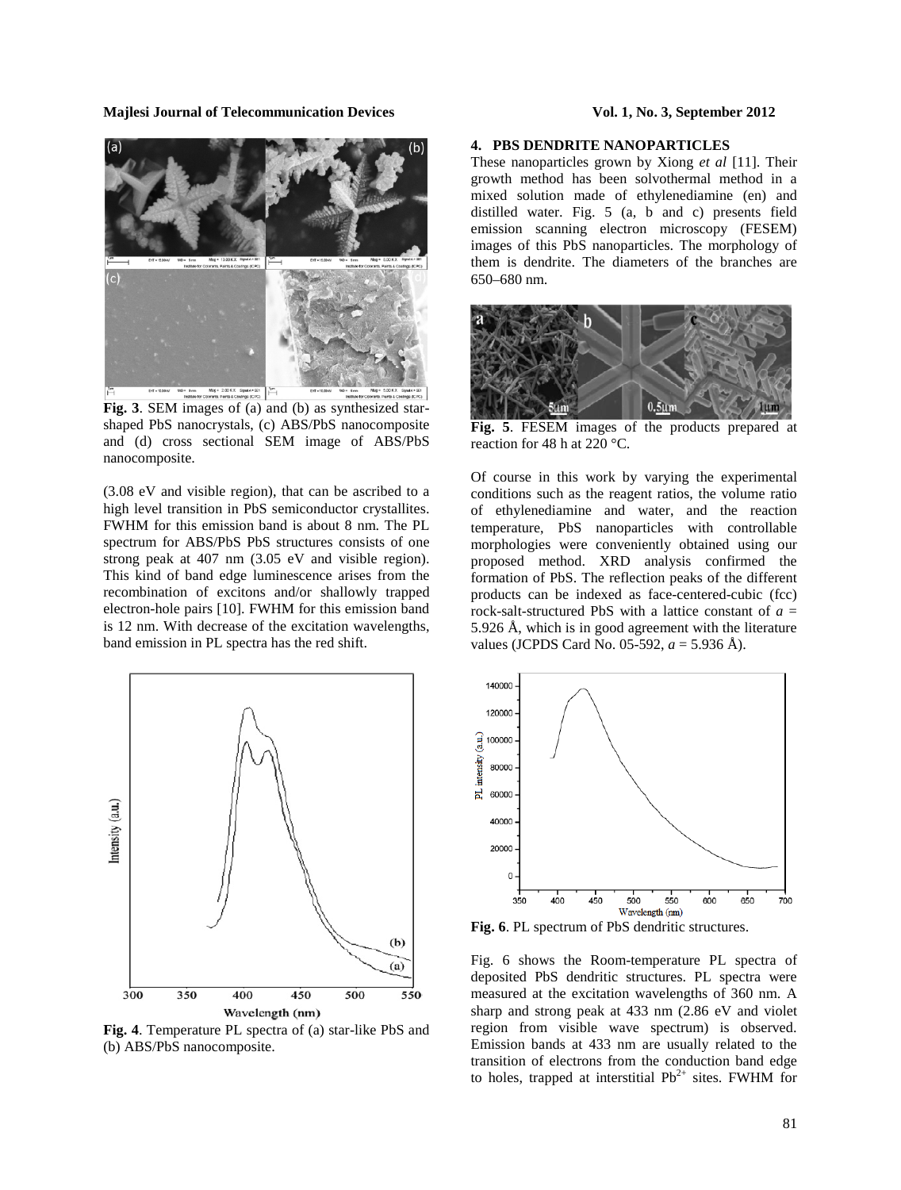**Majlesi Journal of Telecommunication Devices Vol. 1, No. 3, September 2012** 



**Fig. 3**. SEM images of (a) and (b) as synthesized starshaped PbS nanocrystals, (c) ABS/PbS nanocomposite and (d) cross sectional SEM image of ABS/PbS nanocomposite.

(3.08 eV and visible region), that can be ascribed to a high level transition in PbS semiconductor crystallites. FWHM for this emission band is about 8 nm. The PL spectrum for ABS/PbS PbS structures consists of one strong peak at 407 nm (3.05 eV and visible region). This kind of band edge luminescence arises from the recombination of excitons and/or shallowly trapped electron-hole pairs [10]. FWHM for this emission band is 12 nm. With decrease of the excitation wavelengths, band emission in PL spectra has the red shift.



**Fig. 4**. Temperature PL spectra of (a) star-like PbS and (b) ABS/PbS nanocomposite.

# **4. PBS DENDRITE NANOPARTICLES**

These nanoparticles grown by Xiong *et al* [11]. Their growth method has been solvothermal method in a mixed solution made of ethylenediamine (en) and distilled water. Fig. 5 (a, b and c) presents field emission scanning electron microscopy (FESEM) images of this PbS nanoparticles. The morphology of them is dendrite. The diameters of the branches are 650–680 nm.



**Fig. 5**. FESEM images of the products prepared at reaction for 48 h at 220 °C.

Of course in this work by varying the experimental conditions such as the reagent ratios, the volume ratio of ethylenediamine and water, and the reaction temperature, PbS nanoparticles with controllable morphologies were conveniently obtained using our proposed method. XRD analysis confirmed the formation of PbS. The reflection peaks of the different products can be indexed as face-centered-cubic (fcc) rock-salt-structured PbS with a lattice constant of *a* = 5.926 Å, which is in good agreement with the literature values (JCPDS Card No. 05-592, *a* = 5.936 Å).



**Fig. 6**. PL spectrum of PbS dendritic structures.

Fig. 6 shows the Room-temperature PL spectra of deposited PbS dendritic structures. PL spectra were measured at the excitation wavelengths of 360 nm. A sharp and strong peak at 433 nm (2.86 eV and violet region from visible wave spectrum) is observed. Emission bands at 433 nm are usually related to the transition of electrons from the conduction band edge to holes, trapped at interstitial Pb<sup>2+</sup> sites. FWHM for